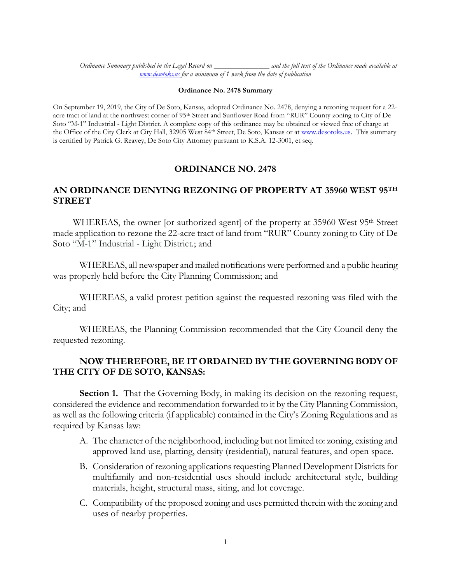*Ordinance Summary published in the Legal Record on \_\_\_\_\_\_\_\_\_\_\_\_\_\_\_ and the full text of the Ordinance made available at [www.desotoks.us](http://www.desotoks.us/) for a minimum of 1 week from the date of publication*

## **Ordinance No. 2478 Summary**

On September 19, 2019, the City of De Soto, Kansas, adopted Ordinance No. 2478, denying a rezoning request for a 22 acre tract of land at the northwest corner of 95<sup>th</sup> Street and Sunflower Road from "RUR" County zoning to City of De Soto "M-1" Industrial - Light District. A complete copy of this ordinance may be obtained or viewed free of charge at the Office of the City Clerk at City Hall, 32905 West 84th Street, De Soto, Kansas or at [www.desotoks.us.](http://www.desotoks.us/) This summary is certified by Patrick G. Reavey, De Soto City Attorney pursuant to K.S.A. 12-3001, et seq.

## **ORDINANCE NO. 2478**

## **AN ORDINANCE DENYING REZONING OF PROPERTY AT 35960 WEST 95TH STREET**

WHEREAS, the owner [or authorized agent] of the property at 35960 West 95<sup>th</sup> Street made application to rezone the 22-acre tract of land from "RUR" County zoning to City of De Soto "M-1" Industrial - Light District.; and

WHEREAS, all newspaper and mailed notifications were performed and a public hearing was properly held before the City Planning Commission; and

WHEREAS, a valid protest petition against the requested rezoning was filed with the City; and

WHEREAS, the Planning Commission recommended that the City Council deny the requested rezoning.

## **NOW THEREFORE, BE IT ORDAINED BY THE GOVERNING BODY OF THE CITY OF DE SOTO, KANSAS:**

**Section 1.** That the Governing Body, in making its decision on the rezoning request, considered the evidence and recommendation forwarded to it by the City Planning Commission, as well as the following criteria (if applicable) contained in the City's Zoning Regulations and as required by Kansas law:

- A. The character of the neighborhood, including but not limited to: zoning, existing and approved land use, platting, density (residential), natural features, and open space.
- B. Consideration of rezoning applications requesting Planned Development Districts for multifamily and non-residential uses should include architectural style, building materials, height, structural mass, siting, and lot coverage.
- C. Compatibility of the proposed zoning and uses permitted therein with the zoning and uses of nearby properties.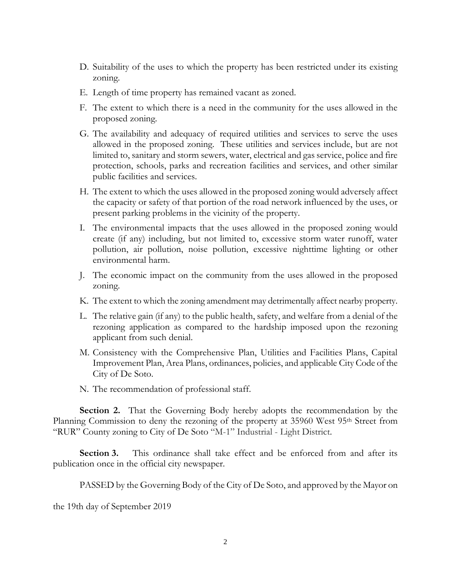- D. Suitability of the uses to which the property has been restricted under its existing zoning.
- E. Length of time property has remained vacant as zoned.
- F. The extent to which there is a need in the community for the uses allowed in the proposed zoning.
- G. The availability and adequacy of required utilities and services to serve the uses allowed in the proposed zoning. These utilities and services include, but are not limited to, sanitary and storm sewers, water, electrical and gas service, police and fire protection, schools, parks and recreation facilities and services, and other similar public facilities and services.
- H. The extent to which the uses allowed in the proposed zoning would adversely affect the capacity or safety of that portion of the road network influenced by the uses, or present parking problems in the vicinity of the property.
- I. The environmental impacts that the uses allowed in the proposed zoning would create (if any) including, but not limited to, excessive storm water runoff, water pollution, air pollution, noise pollution, excessive nighttime lighting or other environmental harm.
- J. The economic impact on the community from the uses allowed in the proposed zoning.
- K. The extent to which the zoning amendment may detrimentally affect nearby property.
- L. The relative gain (if any) to the public health, safety, and welfare from a denial of the rezoning application as compared to the hardship imposed upon the rezoning applicant from such denial.
- M. Consistency with the Comprehensive Plan, Utilities and Facilities Plans, Capital Improvement Plan, Area Plans, ordinances, policies, and applicable City Code of the City of De Soto.
- N. The recommendation of professional staff.

**Section 2.** That the Governing Body hereby adopts the recommendation by the Planning Commission to deny the rezoning of the property at 35960 West 95<sup>th</sup> Street from "RUR" County zoning to City of De Soto "M-1" Industrial - Light District.

**Section 3.** This ordinance shall take effect and be enforced from and after its publication once in the official city newspaper.

PASSED by the Governing Body of the City of De Soto, and approved by the Mayor on

the 19th day of September 2019